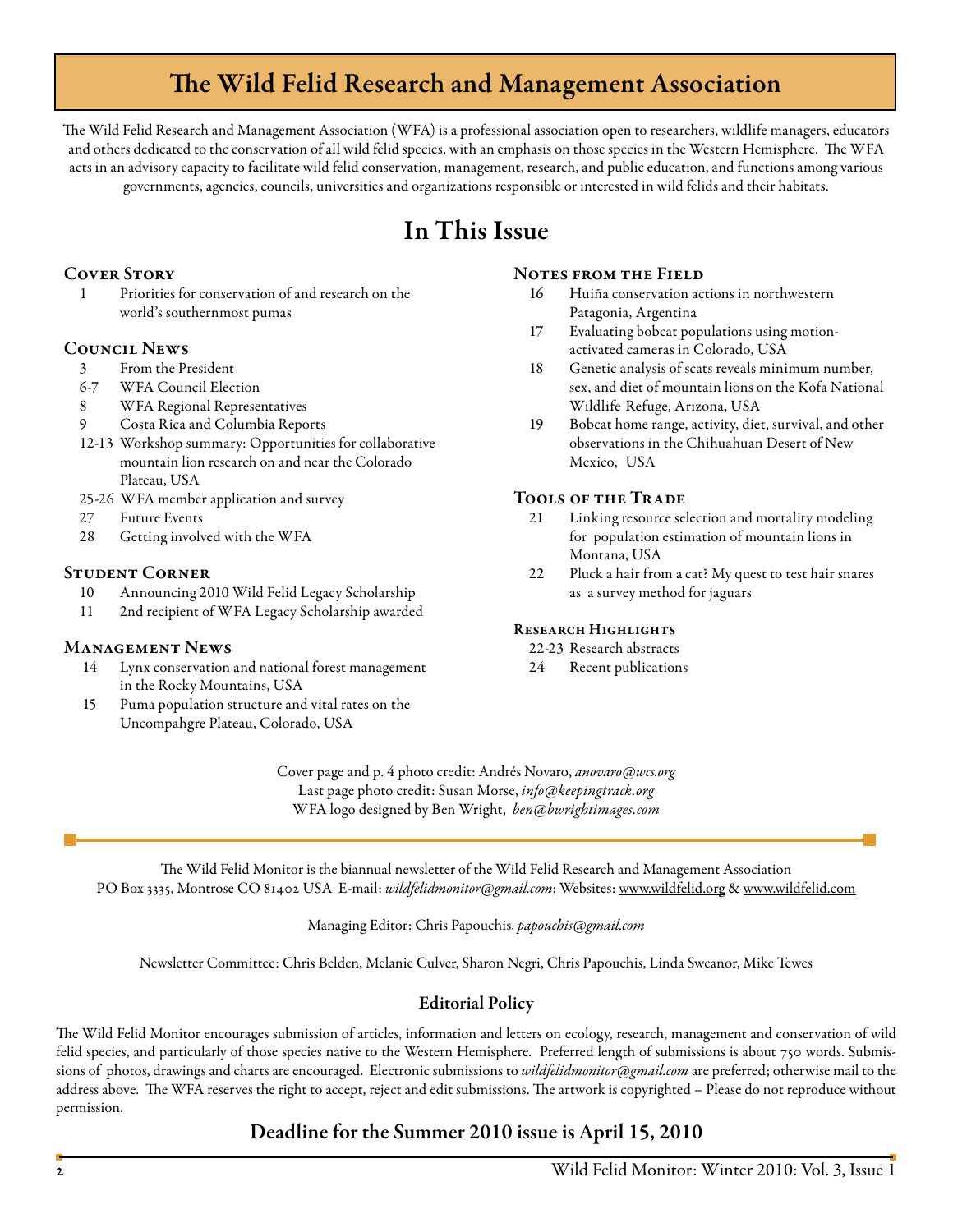# The Wild Felid Research and Management Association

The Wild Felid Research and Management Association (WFA) is a professional association open to researchers, wildlife managers, educators and others dedicated to the conservation of all wild felid species, with an emphasis on those species in the Western Hemisphere. The WFA acts in an advisory capacity to facilitate wild felid conservation, management, research, and public education, and functions among various governments, agencies, councils, universities and organizations responsible or interested in wild felids and their habitats.

# In This Issue

# **COVER STORY**

 1 Priorities for conservation of and research on the world's southernmost pumas

## Council News

- 3 From the President
- 6-7 WFA Council Election
- 8 WFA Regional Representatives
- 9 Costa Rica and Columbia Reports
- 12-13 Workshop summary: Opportunities for collaborative mountain lion research on and near the Colorado Plateau, USA
- 25-26 WFA member application and survey
- 27 Future Events
- 28 Getting involved with the WFA

# Student Corner

- 10 Announcing 2010 Wild Felid Legacy Scholarship
- 11 2nd recipient of WFA Legacy Scholarship awarded

## Management News

- 14 Lynx conservation and national forest management in the Rocky Mountains, USA
- 15 Puma population structure and vital rates on the Uncompahgre Plateau, Colorado, USA

#### NOTES FROM THE FIELD

- 16 Huiña conservation actions in northwestern Patagonia, Argentina
- 17 Evaluating bobcat populations using motionactivated cameras in Colorado, USA
- 18 Genetic analysis of scats reveals minimum number, sex, and diet of mountain lions on the Kofa National Wildlife Refuge, Arizona, USA
- 19 Bobcat home range, activity, diet, survival, and other observations in the Chihuahuan Desert of New Mexico, USA

## Tools of the Trade

- 21 Linking resource selection and mortality modeling for population estimation of mountain lions in Montana, USA
- 22 Pluck a hair from a cat? My quest to test hair snares as a survey method for jaguars

## RESEARCH HIGHLIGHTS

22-23 Research abstracts

24 Recent publications

Cover page and p. 4 photo credit: Andrés Novaro, *anovaro@wcs.org* Last page photo credit: Susan Morse, *info@keepingtrack.org* WFA logo designed by Ben Wright, *ben@bwrightimages.com*

The Wild Felid Monitor is the biannual newsletter of the Wild Felid Research and Management Association PO Box 3335, Montrose CO 81402 USA E-mail: *wildfelidmonitor@gmail.com*; Websites: www.wildfelid.org & www.wildfelid.com

Managing Editor: Chris Papouchis, *papouchis@gmail.com* 

Newsletter Committee: Chris Belden, Melanie Culver, Sharon Negri, Chris Papouchis, Linda Sweanor, Mike Tewes

# Editorial Policy

The Wild Felid Monitor encourages submission of articles, information and letters on ecology, research, management and conservation of wild felid species, and particularly of those species native to the Western Hemisphere. Preferred length of submissions is about 750 words. Submissions of photos, drawings and charts are encouraged. Electronic submissions to *wildfelidmonitor@gmail.com* are preferred; otherwise mail to the address above. The WFA reserves the right to accept, reject and edit submissions. The artwork is copyrighted – Please do not reproduce without permission.

# Deadline for the Summer 2010 issue is April 15, 2010